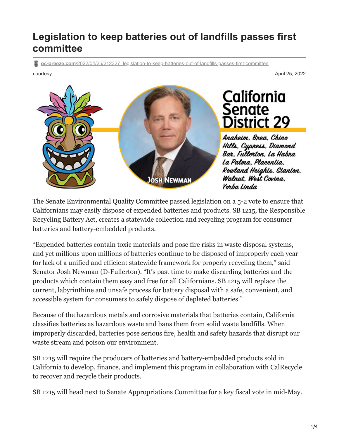## **Legislation to keep batteries out of landfills passes first committee**

**oc-breeze.com**[/2022/04/25/212327\\_legislation-to-keep-batteries-out-of-landfills-passes-first-committee](https://www.oc-breeze.com/2022/04/25/212327_legislation-to-keep-batteries-out-of-landfills-passes-first-committee/)

courtesy April 25, 2022



California Senate **District 29** 

Anaheim. Brea. Chino Hills, Cypress, Diamond Bar, Fullerton, La Habra La Palma, Placentia. Rowland Heights, Stanton, Walnut, West Covina. Yorba Linda

The Senate Environmental Quality Committee passed legislation on a 5-2 vote to ensure that Californians may easily dispose of expended batteries and products. SB 1215, the Responsible Recycling Battery Act, creates a statewide collection and recycling program for consumer batteries and battery-embedded products.

"Expended batteries contain toxic materials and pose fire risks in waste disposal systems, and yet millions upon millions of batteries continue to be disposed of improperly each year for lack of a unified and efficient statewide framework for properly recycling them," said Senator Josh Newman (D-Fullerton). "It's past time to make discarding batteries and the products which contain them easy and free for all Californians. SB 1215 will replace the current, labyrinthine and unsafe process for battery disposal with a safe, convenient, and accessible system for consumers to safely dispose of depleted batteries."

Because of the hazardous metals and corrosive materials that batteries contain, California classifies batteries as hazardous waste and bans them from solid waste landfills. When improperly discarded, batteries pose serious fire, health and safety hazards that disrupt our waste stream and poison our environment.

SB 1215 will require the producers of batteries and battery-embedded products sold in California to develop, finance, and implement this program in collaboration with CalRecycle to recover and recycle their products.

SB 1215 will head next to Senate Appropriations Committee for a key fiscal vote in mid-May.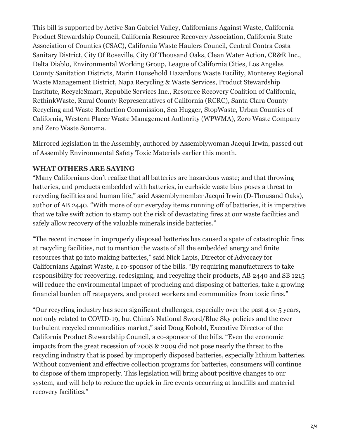This bill is supported by Active San Gabriel Valley, Californians Against Waste, California Product Stewardship Council, California Resource Recovery Association, California State Association of Counties (CSAC), California Waste Haulers Council, Central Contra Costa Sanitary District, City Of Roseville, City Of Thousand Oaks, Clean Water Action, CR&R Inc., Delta Diablo, Environmental Working Group, League of California Cities, Los Angeles County Sanitation Districts, Marin Household Hazardous Waste Facility, Monterey Regional Waste Management District, Napa Recycling & Waste Services, Product Stewardship Institute, RecycleSmart, Republic Services Inc., Resource Recovery Coalition of California, RethinkWaste, Rural County Representatives of California (RCRC), Santa Clara County Recycling and Waste Reduction Commission, Sea Hugger, StopWaste, Urban Counties of California, Western Placer Waste Management Authority (WPWMA), Zero Waste Company and Zero Waste Sonoma.

Mirrored legislation in the Assembly, authored by Assemblywoman Jacqui Irwin, passed out of Assembly Environmental Safety Toxic Materials earlier this month.

## **WHAT OTHERS ARE SAYING**

"Many Californians don't realize that all batteries are hazardous waste; and that throwing batteries, and products embedded with batteries, in curbside waste bins poses a threat to recycling facilities and human life," said Assemblymember Jacqui Irwin (D-Thousand Oaks), author of AB 2440. "With more of our everyday items running off of batteries, it is imperative that we take swift action to stamp out the risk of devastating fires at our waste facilities and safely allow recovery of the valuable minerals inside batteries."

"The recent increase in improperly disposed batteries has caused a spate of catastrophic fires at recycling facilities, not to mention the waste of all the embedded energy and finite resources that go into making batteries," said Nick Lapis, Director of Advocacy for Californians Against Waste, a co-sponsor of the bills. "By requiring manufacturers to take responsibility for recovering, redesigning, and recycling their products, AB 2440 and SB 1215 will reduce the environmental impact of producing and disposing of batteries, take a growing financial burden off ratepayers, and protect workers and communities from toxic fires."

"Our recycling industry has seen significant challenges, especially over the past 4 or 5 years, not only related to COVID-19, but China's National Sword/Blue Sky policies and the ever turbulent recycled commodities market," said Doug Kobold, Executive Director of the California Product Stewardship Council, a co-sponsor of the bills. "Even the economic impacts from the great recession of 2008 & 2009 did not pose nearly the threat to the recycling industry that is posed by improperly disposed batteries, especially lithium batteries. Without convenient and effective collection programs for batteries, consumers will continue to dispose of them improperly. This legislation will bring about positive changes to our system, and will help to reduce the uptick in fire events occurring at landfills and material recovery facilities."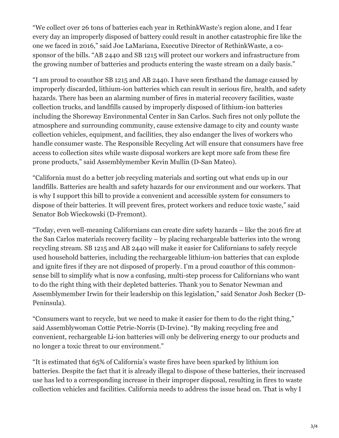"We collect over 26 tons of batteries each year in RethinkWaste's region alone, and I fear every day an improperly disposed of battery could result in another catastrophic fire like the one we faced in 2016," said Joe LaMariana, Executive Director of RethinkWaste, a cosponsor of the bills. "AB 2440 and SB 1215 will protect our workers and infrastructure from the growing number of batteries and products entering the waste stream on a daily basis."

"I am proud to coauthor SB 1215 and AB 2440. I have seen firsthand the damage caused by improperly discarded, lithium-ion batteries which can result in serious fire, health, and safety hazards. There has been an alarming number of fires in material recovery facilities, waste collection trucks, and landfills caused by improperly disposed of lithium-ion batteries including the Shoreway Environmental Center in San Carlos. Such fires not only pollute the atmosphere and surrounding community, cause extensive damage to city and county waste collection vehicles, equipment, and facilities, they also endanger the lives of workers who handle consumer waste. The Responsible Recycling Act will ensure that consumers have free access to collection sites while waste disposal workers are kept more safe from these fire prone products," said Assemblymember Kevin Mullin (D-San Mateo).

"California must do a better job recycling materials and sorting out what ends up in our landfills. Batteries are health and safety hazards for our environment and our workers. That is why I support this bill to provide a convenient and accessible system for consumers to dispose of their batteries. It will prevent fires, protect workers and reduce toxic waste," said Senator Bob Wieckowski (D-Fremont).

"Today, even well-meaning Californians can create dire safety hazards – like the 2016 fire at the San Carlos materials recovery facility – by placing rechargeable batteries into the wrong recycling stream. SB 1215 and AB 2440 will make it easier for Californians to safely recycle used household batteries, including the rechargeable lithium-ion batteries that can explode and ignite fires if they are not disposed of properly. I'm a proud coauthor of this commonsense bill to simplify what is now a confusing, multi-step process for Californians who want to do the right thing with their depleted batteries. Thank you to Senator Newman and Assemblymember Irwin for their leadership on this legislation," said Senator Josh Becker (D-Peninsula).

"Consumers want to recycle, but we need to make it easier for them to do the right thing," said Assemblywoman Cottie Petrie-Norris (D-Irvine). "By making recycling free and convenient, rechargeable Li-ion batteries will only be delivering energy to our products and no longer a toxic threat to our environment."

"It is estimated that 65% of California's waste fires have been sparked by lithium ion batteries. Despite the fact that it is already illegal to dispose of these batteries, their increased use has led to a corresponding increase in their improper disposal, resulting in fires to waste collection vehicles and facilities. California needs to address the issue head on. That is why I